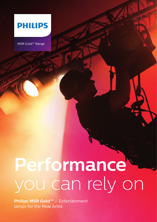

MSR Gold™ Range

# **Performance** you can rely on

**Philips MSR Gold™** – Entertainment lamps for the Real Artist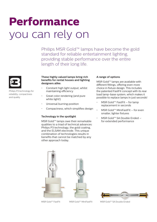## **Performance** you can rely on

Philips MSR Gold™ lamps have become the gold standard for reliable entertainment lighting, providing stable performance over the entire length of their long life.



Philips P3 technology for reliability, compactness and quality

#### **These highly valued lamps bring rich benefits for rental houses and lighting designers alike:**

- Constant high light output, whilst maintaining efficiency
- Great color rendering (and pure white light!)
- Universal burning position
- Compactness, which simplifies design

### **Technology in the spotlight**

MSR Gold™ lamps owe their remarkable qualities to a triad of technical advances: Philips P3 technology, the gold coating, and the ELSAM electrode. This unique combination of technologies results in benefits that cannot be matched by any other approach today.

### **A range of options**

MSR Gold™ lamps are available with different fittings, offering even more choice in fixture design. This includes the patented FastFit concept with its rear load lamp-base system, which makes it possible to replace lamps in just seconds!

- MSR Gold™ FastFit for lamp replacement in seconds
- MSR Gold™ MiniFastFit for even smaller, lighter fixtures
- MSR Gold™ SA Double Ended for extended performance







MSR Gold™ FastFit MSR Gold™ MiniFastFit MSR Gold™ SA Double Ended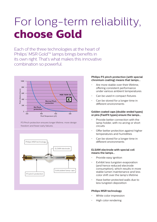## For long-term reliability, **choose Gold**

Each of the three technologies at the heart of Philips' MSR Gold™ lamps brings benefits in its own right. That's what makes this innovative combination so powerful.



P3 Pinch protection ensures longer lifetime, more design freedom and fewer early failures.



#### **Philips P3 pinch protection (with special chromium coating) means that lamps…**

- Are more stable over their lifetime, offering consistent performance under various ambient temperatures
- Can be used in compact fixtures
- Can be stored for a longer time in different environments

#### **Golden coated caps (double-ended types) or pins (FastFit types) ensure the lamps…**

- Provide better connection with the lamp holder, with no arcing or short circuits
- Offer better protection against higher temperatures and humidities
- Can be stored for a longer time in different environments

#### **ELSAM electrode with special coil means the lamps…**

- Provide easy ignition
- Exhibit less tungsten evaporation (and hence reduced electrode consumption), which results in more stable lumen maintenance and less color shift over the lamp's lifetime
- Have better protected walls due to less tungsten deposition

### **Philips MSR technology**

- White color impression
- High color rendering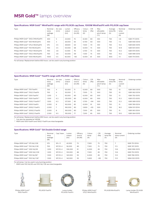## **MSR Gold™** lamps overview

#### **Specifications: MSR Gold™ MiniFastFit range with PGJX28 cap/base, 1000W MiniFastFit with PGJX36 cap/base**

| Type                                | Nominal<br>lamp<br>wattage<br>(W) | Arc size<br>(mm) | Lumen<br>output<br>(lm) | Efficacy<br>source<br>(lm/W) | Colour<br>temp<br>(K) | <b>CRI</b><br>(Ra) | Max<br>allowable<br>pinch temp<br>″°C) | Average<br>lamp life<br>(h) | Nominal<br>lamp<br>current<br>(A) | Ordering number |
|-------------------------------------|-----------------------------------|------------------|-------------------------|------------------------------|-----------------------|--------------------|----------------------------------------|-----------------------------|-----------------------------------|-----------------|
| Philips MSR Gold™ 300/2 MiniFastFit | 300                               | 5                | 23,000                  | 75                           | 8.300                 | 80                 | 350                                    | 750                         | 3.8                               | 9281 771 05115  |
| Philips MSR Gold™ 400 MiniFastFit   | 400                               | 3                | 26,000                  | 65                           | 6.700                 | 60                 | 500                                    | 750                         | 72                                | 928194005114    |
| Philips MSR Gold™ 575/2 MiniFastFit | 575                               | 3.5              | 38,600                  | 64                           | 7.500                 | 70                 | 350                                    | 750                         | 10.2                              | 928184005115    |
| Philips MSR Gold™ 700 MiniFastFit   | 700                               | 3.5              | 50,000                  | 68                           | 6.000                 | 73                 | 500                                    | 750                         | 10.9                              | 928194105114    |
| Philips MSR Gold™ 700/1 MiniFastFit | 700                               | 3.8              | 53,400                  | 76                           | 5.700                 | 73                 | 500                                    | 750                         | 10.2                              | 9281 974 05115  |
| Philips MSR Gold™ 700/2 MiniFastFit | 700                               | 3.8              | 50,000                  | 69                           | 7.300                 | 75                 | 500                                    | 750                         | 10.2                              | 928199905115    |
| Philips MSR Gold™ 1000 MiniFastFit  | 1000                              | 5.5              | 83,000                  | >83                          | 6,000                 | 81                 | 500                                    | 900                         | 11.1                              | 9281 714 05115  |

For all lamps: Replacement before 850 hours; can be used in any burning position

#### **Specifications: MSR Gold™ FastFit range with PGJX50 cap/base**

| Type                               | Nominal<br>lamp<br>wattage<br>(W) | Arc size<br>(mm) | Lumen<br>output<br>(lm) | Efficacy<br>source<br>(lm/W) | Colour<br>temp<br>(K) | <b>CRI</b><br>(Ra) | Max<br>allowable<br>pinch temp<br>(°C) | Average<br>lamp life<br>(h) | Nominal<br>lamp<br>current<br>(A) | Ordering number |
|------------------------------------|-----------------------------------|------------------|-------------------------|------------------------------|-----------------------|--------------------|----------------------------------------|-----------------------------|-----------------------------------|-----------------|
| Philips MSR Gold™ 700 FastFit      | 700                               | $\overline{4}$   | 50,000                  | 71                           | 6.000                 | 80                 | 500                                    | 750                         | 10                                | 928106005115    |
| Philips MSR Gold™ 700/2 FastFit    | 700                               | $\overline{4}$   | 50,000                  | 71                           | 7.500                 | 75                 | 500                                    | 750                         | 10 <sup>2</sup>                   | 928106205114    |
| Philips MSR Gold™ 1200 FastFit*    | 1.200                             | 5                | 95,000                  | 80                           | 6.000                 | 80                 | 500                                    | 750                         | 13                                | 928175005115    |
| Philips MSR Gold™ 1500 FastFit**   | 1.500                             | 6.3              | 120,000                 | 80                           | 6.000                 | 80                 | 500                                    | 750                         | 15.3                              | 9281 073 05115  |
| Philips MSR Gold™ 1500/1 FastFit** | 1.500                             | 6.3              | 127.500                 | 85                           | 5.700                 | >94                | 500                                    | 750                         | 15.3                              | 928108905115    |
| Philips MSR Gold™ 2000 FastFit     | 2.000                             | 8                | 162.000                 | 85                           | 6.000                 | 91                 | 500                                    | 750                         | 15                                | 928176905114    |
| Philips MSR Gold™ 2000/1 FastFit   | 2.000                             | 7                | 160,000                 | 80                           | 5.800                 | >93                | 500                                    | 750                         | 18.2                              | 9284 101 05114  |
| Philips MSR Gold™ 2000/2 FastFit   | 2.000                             | 8                | 160,000                 | 80                           | 7.500                 | 85                 | 500                                    | 750                         | 15                                | 9281 061 05114  |
| Philips MSR Gold™ 2500/2 FastFit   | 2,500                             | 9.5              | 193,000                 | 77                           | 7,200                 | 85                 | 500                                    | 750                         | 19.5                              | 928106405115    |

For all lamps: Replacement before 850 hours; can be used in any burning position

\* Can also be operated at 1400W

\*\* MSR Gold 1500 FastFit and 1500/1 FastFit are interchangeable

#### **Specifications: MSR Gold™ SA Double Ended range**

| Type                            | Nominal<br>lamp<br>wattage<br>(W) | Cap/ base | Lumen<br>output<br>(lm) | Efficacy<br>source<br>(lm/W) | Colour<br>temp<br>(K) | <b>CRI</b><br>(Ra) | Average<br>lamp life<br>(h) | Nominal<br>lamp current<br>(A) | Ordering number |
|---------------------------------|-----------------------------------|-----------|-------------------------|------------------------------|-----------------------|--------------------|-----------------------------|--------------------------------|-----------------|
| Philips MSR Gold™ 575 SA/2 DE   | 575                               | $SFC-11$  | 42.000                  | 73                           | 7.500                 | 75                 | 750                         |                                | 9281 751 05114  |
| Philips MSR Gold™ 700 SA/2 DE   | 700                               | SFC10-4   | 56,000                  | 80                           | 7.500                 | 75                 | 750                         | 11.5                           | 9281 747 05115  |
| Philips MSR Gold™ 1200 SA/DE    | .200                              | $SFC10-4$ | 106.000                 | 91                           | 6.000                 | 85                 | 750                         | 13.6                           | 9280 996 05115  |
| Philips MSR Gold™ 1200 SA/2 DE  | .200                              | SFC10-4   | 103.000                 | 86                           | 7.500                 | 85                 | 750                         | 13.6                           | 9281 753 05115  |
| Philips MSR Gold™ 1510 SA/DE*   | 1.500                             | $SFC10-4$ | 140,000                 | 93                           | 6.000                 | 85                 | 750                         | 13.5                           | 928176605115    |
| Philips MSR Gold™ 1510 SA/1 DE* | 1,500                             | SFC10-4   | 142.000                 | 95                           | 5.600                 | >90                | 750                         | 13.5                           | 9284 100 05115  |

For all lamps: Can be used in any burning position

MSR Gold 1510 SA/DE and 1510 SA/1 DE are interchangeable



Philips MSR Gold™ 1500 FastFit

PGJX50 FastFit Lamp holder



PGJX50 FastFit





MiniFastFit

Philips MSR Gold™ 575/2 MiniFastFit

PGJX28 MiniFastFit Lamp holder PGJX28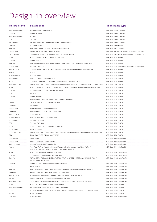## Design-in overview

| High End Systems       | Showbeam 2.5 / Showgun 2.5                                                                                                               | MSR Gold 2500/2 FastFit                           |
|------------------------|------------------------------------------------------------------------------------------------------------------------------------------|---------------------------------------------------|
| Coemar                 | Infinity Multiray                                                                                                                        | MSR Gold 2000/2 FastFit                           |
| High End Systems       | Showgun                                                                                                                                  | MSR Gold 2000/2 FastFit                           |
| LDR                    | Canto 2000                                                                                                                               | MSR Gold 2000/2 FastFit                           |
| PR Lighting            | PR 6000 Wash/FS / PR 6000 Framing / PR 6000 Spot                                                                                         | MSR Gold 2000/1 FastFit                           |
| Omarte                 | 2000W Followspot                                                                                                                         | MSR Gold 2000 FastFit                             |
| Fine Art               | Fine 1500E PERF / Fine 1500E Wash / Fine 1500E Spot                                                                                      | MSR Gold 1510/1 SA/DE                             |
| Golden Sea             | V1500T / V2500S Spot / V2000W Wash                                                                                                       | MSR Gold 1510 SA/DE and MSR Gold 1510 SA/1 DE     |
| <b>GTD Lighting</b>    | GTD-1500 II Profile / GTD-1500 II Spot / GTD-1500 II Wash                                                                                | MSR Gold 1510 SA/DE and MSR Gold 1510 SA/1 DE     |
| Acme                   | Xperior 1500 WZ Wash / Xperior 1500SZ Spot                                                                                               | MSR Gold 1500 FastFit                             |
| Coemar                 | Infinity Spot XL                                                                                                                         | MSR Gold 1500 FastFit                             |
| Fine Art               | Fine II 1500E Beam / Fine II 1500E Wash / Fine II Performance / Fine III 1500E Spot                                                      | MSR Gold 1500 FastFit                             |
| Golden Sea             | V3000P / V3000S                                                                                                                          | MSR Gold 1500 FastFit and MSR Gold 1500/1 FastFit |
| Jolly Hongcai          | Color Beam 1500PF / Color Spot 1500PF / Color Wash 1500PF / Color Wash 1200PF                                                            | MSR Gold 1500 FastFit                             |
| Martin                 | MAC III                                                                                                                                  | MSR Gold 1500 FastFit                             |
| Philips VariLite       | VL6000 Beam                                                                                                                              | MSR Gold 1500 FastFit                             |
| PR Lighting            | PR-5000 Beam / PR-5000 Spot                                                                                                              | MSR Gold 1500 FastFit                             |
| Robe                   | ColorBeam 2500E AT / ColorSpot 2500E AT / ColorWash 2500E AT                                                                             | MSR Gold 1500 FastFit                             |
| <b>SGM Elettronica</b> | Giotto Beam 1500 / Giotto Digital 1500 / Giotto Profile 1500 / Giotto Spot 1500 / Giotto Wash 1500                                       | MSR Gold 1500 FastFit                             |
| Acme                   | Xperior 1200SZ Spot / Xperior 1200SZA Spot / Xperior 1200WZ Wash / Xperior 1200WZA Wash                                                  | MSR Gold 1200 FastFit                             |
| Chauvet                | LEGEND 1200E Spot / LEGEND 1200E Wash                                                                                                    | MSR Gold 1200 FastFit                             |
| Coef                   | XP 1200                                                                                                                                  | MSR Gold 1200 FastFit                             |
| Coemar                 | Infinity Wash XL                                                                                                                         | MSR Gold 1200 FastFit                             |
| D.T.S.                 | XR1200 Wash / XR3000 Beam CMY / XR3000 Spot CMY                                                                                          | MSR Gold 1200 FastFit                             |
| Elation                | DESIGN Spot 1400 / DESIGN Wash 1400                                                                                                      | MSR Gold 1200 FastFit                             |
| Futurelight            | <b>PHS-1400E</b>                                                                                                                         | MSR Gold 1200 FastFit                             |
| Golden Sea             | Terbly V1400S-E / Terbly V1400W-E                                                                                                        | MSR Gold 1200 FastFit                             |
| iSolution              | XP-1200beam / XP-1200SZ / XP-1200WZ                                                                                                      | MSR Gold 1200 FastFit                             |
| Jolly Hongcai          | Color Spot 1200EF                                                                                                                        | MSR Gold 1200 FastFit                             |
| Philips VariLite       | VL4000 BeamWash / VL4000 Spot                                                                                                            | MSR Gold 1200 FastFit                             |
| PR Lighting            | PR3000 / XL1800                                                                                                                          | MSR Gold 1200 FastFit                             |
| PRG                    | Bad Boy CMY Spot                                                                                                                         | MSR Gold 1200 FastFit                             |
| Robe                   | ColorSpot 2500E AT / ColorWash 2500E AT                                                                                                  | MSR Gold 1200 FastFit                             |
| Robert Juliat          | Topaze / Manon                                                                                                                           | MSR Gold 1200 FastFit                             |
| <b>SGM Elettronica</b> | Giotto Beam 1500 / Giotto digital 1500 / Giotto Profile 1500 / Giotto Spot 1500 / Giotto Wash 1500                                       | MSR Gold 1200 FastFit                             |
| Siluj                  | Triton Blue V-1201 / Triton blue V-1202                                                                                                  | MSR Gold 1200 FastFit                             |
| Goboservice            | Golux 1000                                                                                                                               | MSR Gold 1000 MiniFastFit                         |
| Golden Sea             | V1000LT Profile / V1000P Profile                                                                                                         | MSR Gold 1000 MiniFastFit                         |
| Jolly Hong Cai         | X-1000 Spot / X-1000 Spot Profile                                                                                                        | MSR Gold 1000 MiniFastFit                         |
| Martin                 | Mac Viper AirFX / Mac Viper Beam / Mac Viper Performance / Mac Viper Profile /<br>Mac Viper Quadray / Mac Viper Wash / Mac Viper Wash DX | MSR Gold 1000 MiniFastFit                         |
| Acme                   | Xperior 700A Beam / Xperior 700SZ Spot                                                                                                   | MSR Gold 700/2 MiniFastFit                        |
| Chauvet                | LEGEND 700E Beam / LEGEND 700E Spot                                                                                                      | MSR Gold 700/2 MiniFastFit                        |
| Clay Paky              | ALPHA BEAM 700 / ALPHA PROFILE 700 / ALPHA SPOT HPE 700 / ALPHA WASH 700 /<br>ALPHA WASH 700 Grand                                       | MSR Gold 700/2 MiniFastFit                        |
| Coemar                 | Infinity ACL SM / Infinity Spot M / Infinity Wash M                                                                                      | MSR Gold 700/2 MiniFastFit                        |
| D.T.S.                 | XR750 Wash                                                                                                                               | MSR Gold 700/2 MiniFastFit                        |
| Fine Art               | Fine I 700E Beam / Fine I 700E Performance / Fine I 700E Spot / Fine I 700E Wash                                                         | MSR Gold 700/2 MiniFastFit                        |
| iSolution              | XP-700beam MN / XP-700SZ MN / XP-700WZ MN                                                                                                | MSR Gold 700/2 MiniFastFit                        |
| Jolly Hongcai          | FL-700 Beam PF / FL-700 Spot PF / MH-700 BEAM / MH-700 SPOT                                                                              | MSR Gold 700/2 MiniFastFit                        |
| <b>PROEL</b>           | Arrow Compact 700 Beam / Arrow Compact 700 Spot                                                                                          | MSR Gold 700/2 MiniFastFit                        |
| <b>SGM Elettronica</b> | G700 Beam / G700 Spot / G700 Wash / Synthesis 700 Spot / Synthesis 700 Wash                                                              | MSR Gold 700/2 MiniFastFit                        |
| Acme                   | Xperior 700SZA Spot / Xperior 700WZA Wash                                                                                                | MSR Gold 700/2 FastFit                            |
| High End Systems       | Technobeam II Extreme / Technobeam II Supreme                                                                                            | MSR Gold 700/2 FastFit                            |
| D.T.S.                 | XR 700 / XR2000 Beam / XR2000 Spot / XR2000 Spot CMY / XR700 Spot / XR700 Wash                                                           | MSR Gold 700/2 FastFit                            |
| PROEL                  | Arrow 700 Wash                                                                                                                           | MSR Gold 700/2 FastFit                            |
| Clay Paky              | Alpha Profile 700                                                                                                                        | MSR Gold 700/1 MiniFastFit                        |
|                        |                                                                                                                                          |                                                   |

#### **Fixture brand** Fixture type **Fixture type Philips lamp type Philips lamp type**

| MSR Gold 2500/2 FastFit                           |
|---------------------------------------------------|
| MSR Gold 2000/2 FastFit                           |
| MSR Gold 2000/2 FastFit                           |
| MSR Gold 2000/2 FastFit                           |
| MSR Gold 2000/1 FastFit                           |
| MSR Gold 2000 FastFit                             |
| MSR Gold 1510/1 SA/DE                             |
| MSR Gold 1510 SA/DE and MSR Gold 1510 SA/1 DE     |
| MSR Gold 1510 SA/DE and MSR Gold 1510 SA/1 DE     |
| MSR Gold 1500 FastFit                             |
| MSR Gold 1500 FastFit                             |
| MSR Gold 1500 FastFit                             |
| MSR Gold 1500 FastFit and MSR Gold 1500/1 FastFit |
| MSR Gold 1500 FastFit                             |
| MSR Gold 1500 FastFit                             |
| MSR Gold 1500 FastFit                             |
| MSR Gold 1500 FastFit                             |
| MSR Gold 1500 FastFit                             |
| MSR Gold 1500 FastFit                             |
| MSR Gold 1200 FastFit                             |
| MSR Gold 1200 FastFit                             |
| MSR Gold 1200 FastFit                             |
| MSR Gold 1200 FastFit                             |
| MSR Gold 1200 FastFit                             |
| MSR Gold 1200 FastFit                             |
| MSR Gold 1200 FastFit                             |
| MSR Gold 1200 FastFit                             |
| MSR Gold 1200 FastFit                             |
| MSR Gold 1200 FastFit                             |
| MSR Gold 1200 FastFit                             |
| MSR Gold 1200 FastFit                             |
| MSR Gold 1200 FastFit                             |
| MSR Gold 1200 FastFit                             |
| MSR Gold 1200 FastFit                             |
| MSR Gold 1200 FastFit                             |
| MSR Gold 1200 FastFit                             |
| MSR Gold 1000 MiniFastFit                         |
| MSR Gold 1000 MiniFastFit                         |
| MSR Gold 1000 MiniFastFit                         |
| MSR Gold 1000 MiniFastFit                         |
|                                                   |
| MSR Gold 700/2 MiniFastFit                        |
| MSR Gold 700/2 MiniFastFit                        |
| MSR Gold 700/2 MiniFastFit                        |
|                                                   |
| MSR Gold 700/2 MiniFastFit                        |
| MSR Gold 700/2 MiniFastFit                        |
| MSR Gold 700/2 MiniFastFit                        |
| MSR Gold 700/2 MiniFastFit                        |
| MSR Gold 700/2 MiniFastFit                        |
| MSR Gold 700/2 MiniFastFit                        |
| MSR Gold 700/2 MiniFastFit                        |
| MSR Gold 700/2 FastFit                            |
| MSR Gold 700/2 FastFit                            |
| MSR Gold 700/2 FastFit                            |
| MSR Gold 700/2 FastFit                            |
|                                                   |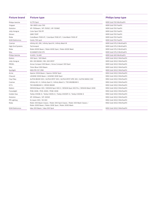| Philips VariLite        | VL770 Spot                                                                                                                        | MSR Gold 700 MiniFastFit   |
|-------------------------|-----------------------------------------------------------------------------------------------------------------------------------|----------------------------|
| Yingwei                 | YW-0805 color 700                                                                                                                 | MSR Gold 700 FastFit       |
| iSolution               | XP-700beam / XP-700SZ / XP-700WZ                                                                                                  | MSR Gold 700 FastFit       |
| Jolly Hongcai           | Color Spot 700 PF                                                                                                                 | MSR Gold 700 FastFit       |
| Qmaxz                   | OME 700P                                                                                                                          | MSR Gold 700 FastFit       |
| Robe                    | ColorBeam 700E AT / ColorSpot 700E AT / ColorWash 700E AT                                                                         | MSR Gold 700 FastFit       |
| <b>SGM Elettronica</b>  | Giotto 700 spot                                                                                                                   | MSR Gold 700 FastFit       |
| Coemar                  | Infinity ACL SM / Infinity Spot M / Infinity Wash M                                                                               | MSR Gold 575/2 MiniFastFit |
| <b>High End Systems</b> | Technospot                                                                                                                        | MSR Gold 575/2 MiniFastFit |
| Robe                    | Robin 600E Beam / Robin 600E Spot / Robin 600E Wash                                                                               | MSR Gold 575/2 MiniFastFit |
| Siluj                   | <b>SCANNER VIVA 575</b>                                                                                                           | MSR Gold 575/2 MiniFastFit |
| Philips VariLite        | VL400 / VL440                                                                                                                     | MSR Gold 400 MiniFastFit   |
| Elation                 | 300 Spot / 300 Wash                                                                                                               | MSR Gold 300/2 MiniFastFit |
| Jolly Hongcai           | MH-300 BEAM / MH-300 SPOT                                                                                                         | MSR Gold 300/2 MiniFastFit |
| <b>PROEL</b>            | Arrow Compact 300 Beam / Arrow Compact 300 Spot                                                                                   | MSR Gold 300/2 MiniFastFit |
| Siluj                   | Triton Blue V300 Beam                                                                                                             | MSR Gold 300/2 MiniFastFit |
| Spotlight               | MIDI PR CST CRM                                                                                                                   | MSR Gold 300/2 MiniFastFit |
| Acme                    | Xperior 300A Beam / Xperior 300SZ Spot                                                                                            | MSD Gold 300/2 MiniFastFit |
| Chauvet                 | LEGEND 300E Beam / LEGEND 300E Spot                                                                                               | MSD Gold 300/2 MiniFastFit |
| Clay Paky               | ALPHA BEAM 300 / ALPHA SPOT 300 / ALPHA SPOT HPE 300 / ALPHA WASH 300                                                             | MSD Gold 300/2 MiniFastFit |
| Coemar                  | Infinity ACL S / Infinity Spot S / Infinity Wash S / TECHNOBEAM II                                                                | MSD Gold 300/2 MiniFastFit |
| D.T.S.                  | TECHNOBEAM II / XR300 BEAM                                                                                                        | MSD Gold 300/2 MiniFastFit |
| Elation                 | DESIGN Beam 300 / DESIGN Spot 300 E / DESIGN Spot 300 Pro / DESIGN Wash 300E                                                      | MSD Gold 300/2 MiniFastFit |
| Futurelight             | PHB-300E / PHS-300E / PHW-300E                                                                                                    | MSD Gold 300/2 MiniFastFit |
| Golden Sea              | Terbly V300B-E / Terbly V300S-E / Terbly V300SP-E / Terbly V300W-E                                                                | MSD Gold 300/2 MiniFastFit |
| iSolution               | XP-300beam / XP-300SZ                                                                                                             | MSD Gold 300/2 MiniFastFit |
| <b>PR Lighting</b>      | XL beam 300 / XS 300                                                                                                              | MSD Gold 300/2 MiniFastFit |
| Robe                    | Robin 300 Beam Classic / Robin 300 Spot Classic / Robin 300 Wash Classic /<br>Robin 300E Beam / Robin 300E Spot / Robin 300E Wash | MSD Gold 300/2 MiniFastFit |
| <b>SGM Elettronica</b>  | Idea 300 Beam / Idea 300 Spot                                                                                                     | MSD Gold 300/2 MiniFastFit |
|                         |                                                                                                                                   |                            |

#### **Fixture brand Fixture type Philips lamp type Philips lamp type**

| MSR Gold 700 FastFit       |  |
|----------------------------|--|
|                            |  |
| MSR Gold 700 FastFit       |  |
| MSR Gold 700 FastFit       |  |
| MSR Gold 700 FastFit       |  |
| MSR Gold 700 FastFit       |  |
| MSR Gold 700 FastFit       |  |
| MSR Gold 575/2 MiniFastFit |  |
| MSR Gold 575/2 MiniFastFit |  |
| MSR Gold 575/2 MiniFastFit |  |
| MSR Gold 575/2 MiniFastFit |  |
| MSR Gold 400 MiniFastFit   |  |
| MSR Gold 300/2 MiniFastFit |  |
| MSR Gold 300/2 MiniFastFit |  |
| MSR Gold 300/2 MiniFastFit |  |
| MSR Gold 300/2 MiniFastFit |  |
| MSR Gold 300/2 MiniFastFit |  |
| MSD Gold 300/2 MiniFastFit |  |
| MSD Gold 300/2 MiniFastFit |  |
| MSD Gold 300/2 MiniFastFit |  |
| MSD Gold 300/2 MiniFastFit |  |
| MSD Gold 300/2 MiniFastFit |  |
| MSD Gold 300/2 MiniFastFit |  |
| MSD Gold 300/2 MiniFastFit |  |
| MSD Gold 300/2 MiniFastFit |  |
| MSD Gold 300/2 MiniFastFit |  |
| MSD Gold 300/2 MiniFastFit |  |
| MSD Gold 300/2 MiniFastFit |  |